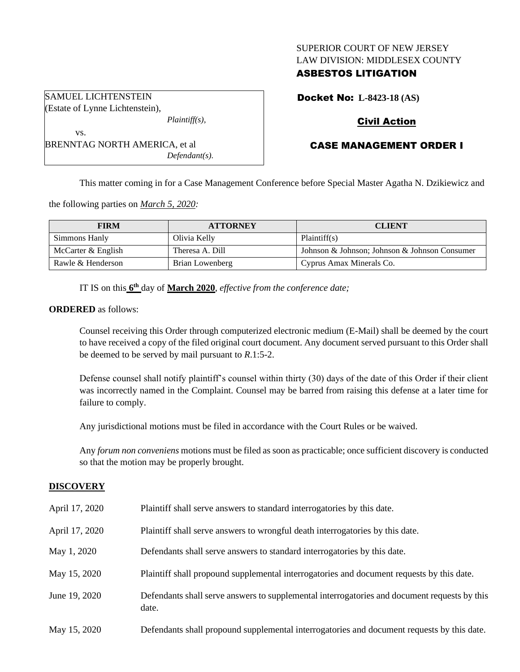# SUPERIOR COURT OF NEW JERSEY LAW DIVISION: MIDDLESEX COUNTY

# ASBESTOS LITIGATION

Docket No: **L-8423-18 (AS)**

# Civil Action

# CASE MANAGEMENT ORDER I

This matter coming in for a Case Management Conference before Special Master Agatha N. Dzikiewicz and

the following parties on *March 5, 2020:*

| <b>FIRM</b>        | <b>ATTORNEY</b> | <b>CLIENT</b>                                 |
|--------------------|-----------------|-----------------------------------------------|
| Simmons Hanly      | Olivia Kelly    | Plaintiff(s)                                  |
| McCarter & English | Theresa A. Dill | Johnson & Johnson; Johnson & Johnson Consumer |
| Rawle & Henderson  | Brian Lowenberg | Cyprus Amax Minerals Co.                      |

IT IS on this **6 th** day of **March 2020**, *effective from the conference date;*

*Defendant(s).*

### **ORDERED** as follows:

Counsel receiving this Order through computerized electronic medium (E-Mail) shall be deemed by the court to have received a copy of the filed original court document. Any document served pursuant to this Order shall be deemed to be served by mail pursuant to *R*.1:5-2.

Defense counsel shall notify plaintiff's counsel within thirty (30) days of the date of this Order if their client was incorrectly named in the Complaint. Counsel may be barred from raising this defense at a later time for failure to comply.

Any jurisdictional motions must be filed in accordance with the Court Rules or be waived.

Any *forum non conveniens* motions must be filed as soon as practicable; once sufficient discovery is conducted so that the motion may be properly brought.

### **DISCOVERY**

| April 17, 2020 | Plaintiff shall serve answers to standard interrogatories by this date.                               |
|----------------|-------------------------------------------------------------------------------------------------------|
| April 17, 2020 | Plaintiff shall serve answers to wrongful death interrogatories by this date.                         |
| May 1, 2020    | Defendants shall serve answers to standard interrogatories by this date.                              |
| May 15, 2020   | Plaintiff shall propound supplemental interrogatories and document requests by this date.             |
| June 19, 2020  | Defendants shall serve answers to supplemental interrogatories and document requests by this<br>date. |
| May 15, 2020   | Defendants shall propound supplemental interrogatories and document requests by this date.            |

SAMUEL LICHTENSTEIN Estate of Lynne Lichtenstein), *Plaintiff(s),*

BRENNTAG NORTH AMERICA, et al

vs.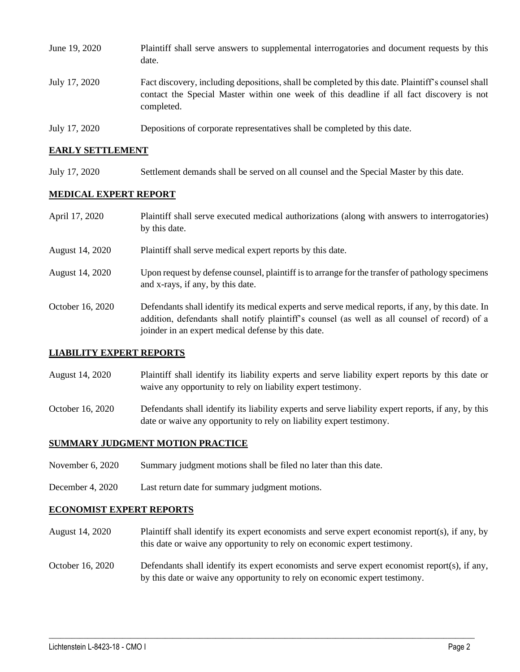| June 19, 2020 | Plaintiff shall serve answers to supplemental interrogatories and document requests by this<br>date.                                                                                                        |
|---------------|-------------------------------------------------------------------------------------------------------------------------------------------------------------------------------------------------------------|
| July 17, 2020 | Fact discovery, including depositions, shall be completed by this date. Plaintiff's counsel shall<br>contact the Special Master within one week of this deadline if all fact discovery is not<br>completed. |
| July 17, 2020 | Depositions of corporate representatives shall be completed by this date.                                                                                                                                   |

## **EARLY SETTLEMENT**

July 17, 2020 Settlement demands shall be served on all counsel and the Special Master by this date.

## **MEDICAL EXPERT REPORT**

| April 17, 2020   | Plaintiff shall serve executed medical authorizations (along with answers to interrogatories)<br>by this date.                                                                                                                                           |
|------------------|----------------------------------------------------------------------------------------------------------------------------------------------------------------------------------------------------------------------------------------------------------|
| August 14, 2020  | Plaintiff shall serve medical expert reports by this date.                                                                                                                                                                                               |
| August 14, 2020  | Upon request by defense counsel, plaintiff is to arrange for the transfer of pathology specimens<br>and x-rays, if any, by this date.                                                                                                                    |
| October 16, 2020 | Defendants shall identify its medical experts and serve medical reports, if any, by this date. In<br>addition, defendants shall notify plaintiff's counsel (as well as all counsel of record) of a<br>joinder in an expert medical defense by this date. |

### **LIABILITY EXPERT REPORTS**

- August 14, 2020 Plaintiff shall identify its liability experts and serve liability expert reports by this date or waive any opportunity to rely on liability expert testimony.
- October 16, 2020 Defendants shall identify its liability experts and serve liability expert reports, if any, by this date or waive any opportunity to rely on liability expert testimony.

# **SUMMARY JUDGMENT MOTION PRACTICE**

- November 6, 2020 Summary judgment motions shall be filed no later than this date.
- December 4, 2020 Last return date for summary judgment motions.

### **ECONOMIST EXPERT REPORTS**

- August 14, 2020 Plaintiff shall identify its expert economists and serve expert economist report(s), if any, by this date or waive any opportunity to rely on economic expert testimony.
- October 16, 2020 Defendants shall identify its expert economists and serve expert economist report(s), if any, by this date or waive any opportunity to rely on economic expert testimony.

 $\_$  , and the set of the set of the set of the set of the set of the set of the set of the set of the set of the set of the set of the set of the set of the set of the set of the set of the set of the set of the set of th